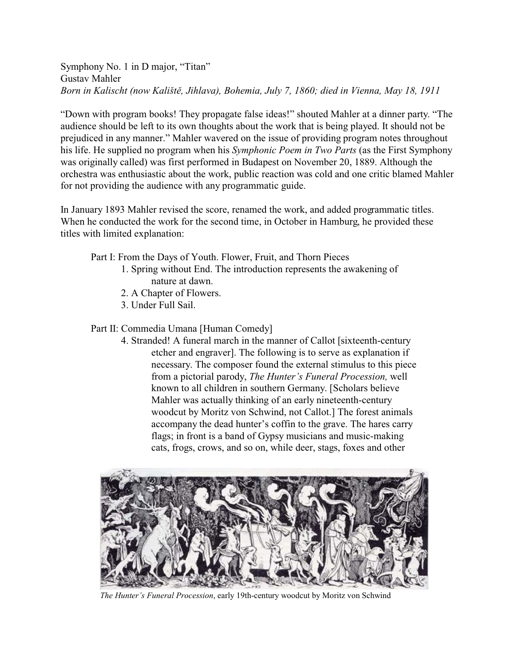Symphony No. 1 in D major, "Titan" Gustav Mahler *Born in Kalischt (now Kalištì, Jihlava), Bohemia, July 7, 1860; died in Vienna, May 18, 1911*

"Down with program books! They propagate false ideas!" shouted Mahler at a dinner party. "The audience should be left to its own thoughts about the work that is being played. It should not be prejudiced in any manner." Mahler wavered on the issue of providing program notes throughout his life. He supplied no program when his *Symphonic Poem in Two Parts* (as the First Symphony was originally called) was first performed in Budapest on November 20, 1889. Although the orchestra was enthusiastic about the work, public reaction was cold and one critic blamed Mahler for not providing the audience with any programmatic guide.

In January 1893 Mahler revised the score, renamed the work, and added programmatic titles. When he conducted the work for the second time, in October in Hamburg, he provided these titles with limited explanation:

Part I: From the Days of Youth. Flower, Fruit, and Thorn Pieces

- 1. Spring without End. The introduction represents the awakening of nature at dawn.
- 2. A Chapter of Flowers.
- 3. Under Full Sail.

Part II: Commedia Umana [Human Comedy]

4. Stranded! A funeral march in the manner of Callot [sixteenth-century etcher and engraver]. The following is to serve as explanation if necessary. The composer found the external stimulus to this piece from a pictorial parody, *The Hunter's Funeral Procession,* well known to all children in southern Germany. [Scholars believe Mahler was actually thinking of an early nineteenth-century woodcut by Moritz von Schwind, not Callot.] The forest animals accompany the dead hunter's coffin to the grave. The hares carry flags; in front is a band of Gypsy musicians and music-making cats, frogs, crows, and so on, while deer, stags, foxes and other



*The Hunter's Funeral Procession*, early 19th-century woodcut by Moritz von Schwind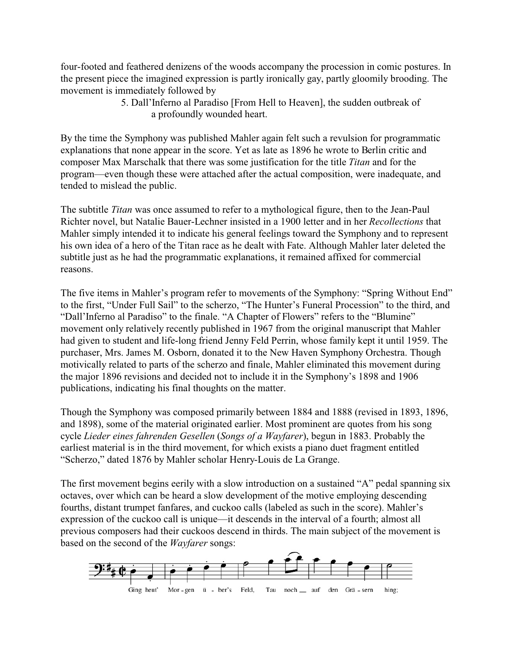four-footed and feathered denizens of the woods accompany the procession in comic postures. In the present piece the imagined expression is partly ironically gay, partly gloomily brooding. The movement is immediately followed by

> 5. Dall'Inferno al Paradiso [From Hell to Heaven], the sudden outbreak of a profoundly wounded heart.

By the time the Symphony was published Mahler again felt such a revulsion for programmatic explanations that none appear in the score. Yet as late as 1896 he wrote to Berlin critic and composer Max Marschalk that there was some justification for the title *Titan* and for the program—even though these were attached after the actual composition, were inadequate, and tended to mislead the public.

The subtitle *Titan* was once assumed to refer to a mythological figure, then to the Jean-Paul Richter novel, but Natalie Bauer-Lechner insisted in a 1900 letter and in her *Recollections* that Mahler simply intended it to indicate his general feelings toward the Symphony and to represent his own idea of a hero of the Titan race as he dealt with Fate. Although Mahler later deleted the subtitle just as he had the programmatic explanations, it remained affixed for commercial reasons.

The five items in Mahler's program refer to movements of the Symphony: "Spring Without End" to the first, "Under Full Sail" to the scherzo, "The Hunter's Funeral Procession" to the third, and "Dall'Inferno al Paradiso" to the finale. "A Chapter of Flowers" refers to the "Blumine" movement only relatively recently published in 1967 from the original manuscript that Mahler had given to student and life-long friend Jenny Feld Perrin, whose family kept it until 1959. The purchaser, Mrs. James M. Osborn, donated it to the New Haven Symphony Orchestra. Though motivically related to parts of the scherzo and finale, Mahler eliminated this movement during the major 1896 revisions and decided not to include it in the Symphony's 1898 and 1906 publications, indicating his final thoughts on the matter.

Though the Symphony was composed primarily between 1884 and 1888 (revised in 1893, 1896, and 1898), some of the material originated earlier. Most prominent are quotes from his song cycle *Lieder eines fahrenden Gesellen* (*Songs of a Wayfarer*), begun in 1883. Probably the earliest material is in the third movement, for which exists a piano duet fragment entitled "Scherzo," dated 1876 by Mahler scholar Henry-Louis de La Grange.

The first movement begins eerily with a slow introduction on a sustained "A" pedal spanning six octaves, over which can be heard a slow development of the motive employing descending fourths, distant trumpet fanfares, and cuckoo calls (labeled as such in the score). Mahler's expression of the cuckoo call is unique—it descends in the interval of a fourth; almost all previous composers had their cuckoos descend in thirds. The main subject of the movement is based on the second of the *Wayfarer* songs: